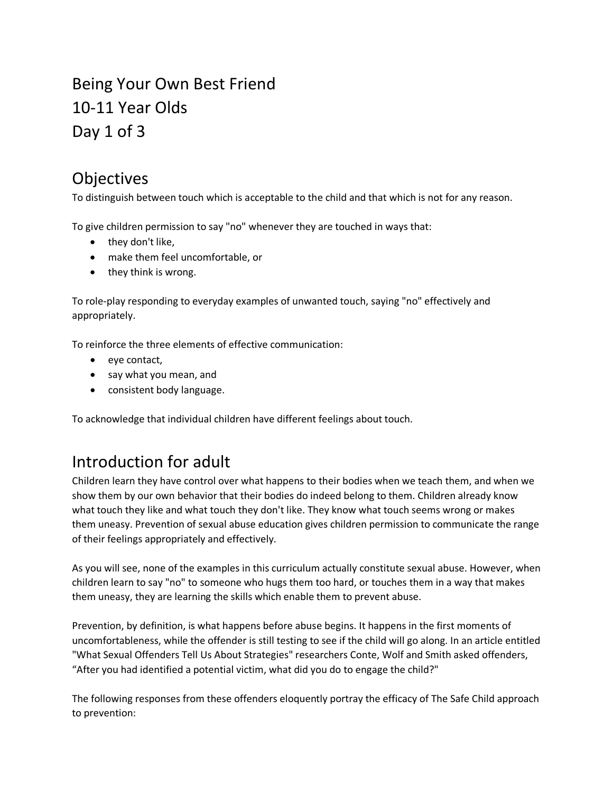# Being Your Own Best Friend 10-11 Year Olds Day 1 of 3

## Objectives

To distinguish between touch which is acceptable to the child and that which is not for any reason.

To give children permission to say "no" whenever they are touched in ways that:

- they don't like,
- make them feel uncomfortable, or
- they think is wrong.

To role-play responding to everyday examples of unwanted touch, saying "no" effectively and appropriately.

To reinforce the three elements of effective communication:

- eye contact,
- say what you mean, and
- consistent body language.

To acknowledge that individual children have different feelings about touch.

## Introduction for adult

Children learn they have control over what happens to their bodies when we teach them, and when we show them by our own behavior that their bodies do indeed belong to them. Children already know what touch they like and what touch they don't like. They know what touch seems wrong or makes them uneasy. Prevention of sexual abuse education gives children permission to communicate the range of their feelings appropriately and effectively.

As you will see, none of the examples in this curriculum actually constitute sexual abuse. However, when children learn to say "no" to someone who hugs them too hard, or touches them in a way that makes them uneasy, they are learning the skills which enable them to prevent abuse.

Prevention, by definition, is what happens before abuse begins. It happens in the first moments of uncomfortableness, while the offender is still testing to see if the child will go along. In an article entitled "What Sexual Offenders Tell Us About Strategies" researchers Conte, Wolf and Smith asked offenders, "After you had identified a potential victim, what did you do to engage the child?"

The following responses from these offenders eloquently portray the efficacy of The Safe Child approach to prevention: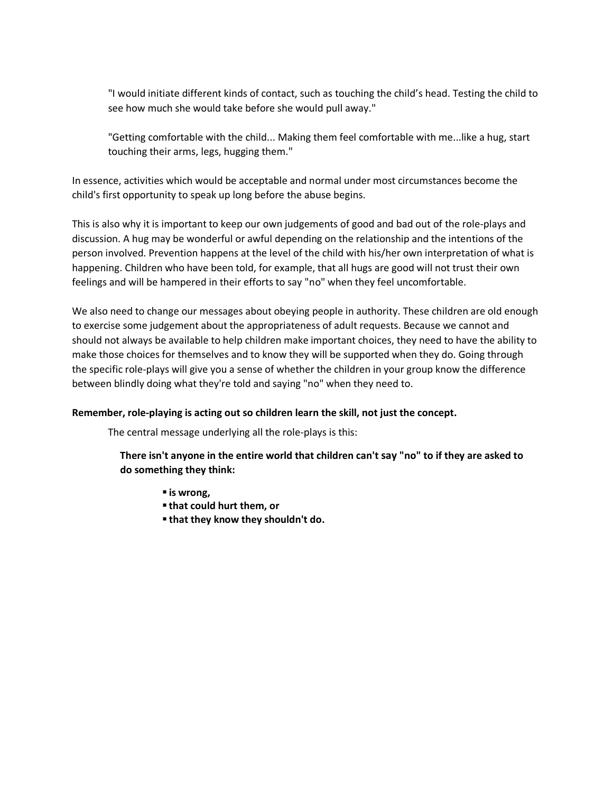"I would initiate different kinds of contact, such as touching the child's head. Testing the child to see how much she would take before she would pull away."

"Getting comfortable with the child... Making them feel comfortable with me...like a hug, start touching their arms, legs, hugging them."

In essence, activities which would be acceptable and normal under most circumstances become the child's first opportunity to speak up long before the abuse begins.

This is also why it is important to keep our own judgements of good and bad out of the role-plays and discussion. A hug may be wonderful or awful depending on the relationship and the intentions of the person involved. Prevention happens at the level of the child with his/her own interpretation of what is happening. Children who have been told, for example, that all hugs are good will not trust their own feelings and will be hampered in their efforts to say "no" when they feel uncomfortable.

We also need to change our messages about obeying people in authority. These children are old enough to exercise some judgement about the appropriateness of adult requests. Because we cannot and should not always be available to help children make important choices, they need to have the ability to make those choices for themselves and to know they will be supported when they do. Going through the specific role-plays will give you a sense of whether the children in your group know the difference between blindly doing what they're told and saying "no" when they need to.

#### **Remember, role-playing is acting out so children learn the skill, not just the concept.**

The central message underlying all the role-plays is this:

**There isn't anyone in the entire world that children can't say "no" to if they are asked to do something they think:**

- **is wrong,**
- **that could hurt them, or**
- **that they know they shouldn't do.**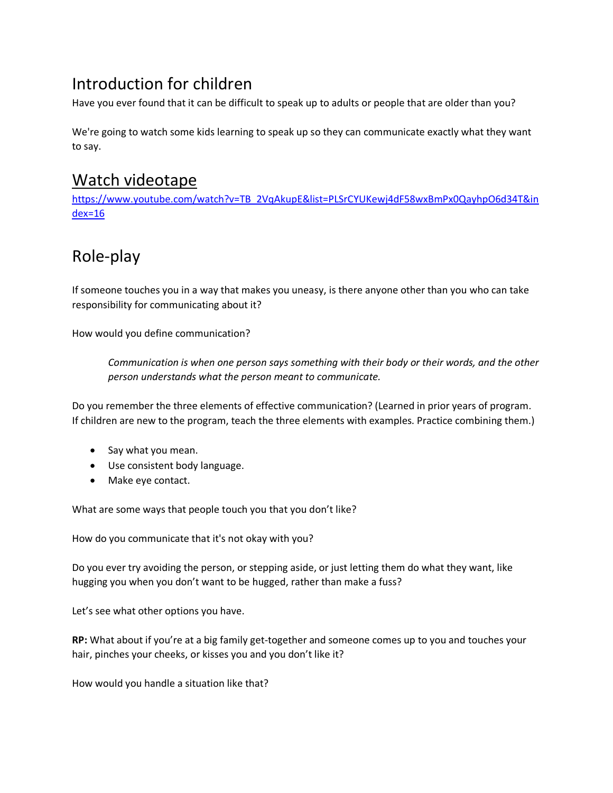# Introduction for children

Have you ever found that it can be difficult to speak up to adults or people that are older than you?

We're going to watch some kids learning to speak up so they can communicate exactly what they want to say.

### Watch videotape

[https://www.youtube.com/watch?v=TB\\_2VqAkupE&list=PLSrCYUKewj4dF58wxBmPx0QayhpO6d34T&in](https://www.youtube.com/watch?v=TB_2VqAkupE&list=PLSrCYUKewj4dF58wxBmPx0QayhpO6d34T&index=16) [dex=16](https://www.youtube.com/watch?v=TB_2VqAkupE&list=PLSrCYUKewj4dF58wxBmPx0QayhpO6d34T&index=16)

# Role-play

If someone touches you in a way that makes you uneasy, is there anyone other than you who can take responsibility for communicating about it?

How would you define communication?

*Communication is when one person says something with their body or their words, and the other person understands what the person meant to communicate.*

Do you remember the three elements of effective communication? (Learned in prior years of program. If children are new to the program, teach the three elements with examples. Practice combining them.)

- Say what you mean.
- Use consistent body language.
- Make eye contact.

What are some ways that people touch you that you don't like?

How do you communicate that it's not okay with you?

Do you ever try avoiding the person, or stepping aside, or just letting them do what they want, like hugging you when you don't want to be hugged, rather than make a fuss?

Let's see what other options you have.

**RP:** What about if you're at a big family get-together and someone comes up to you and touches your hair, pinches your cheeks, or kisses you and you don't like it?

How would you handle a situation like that?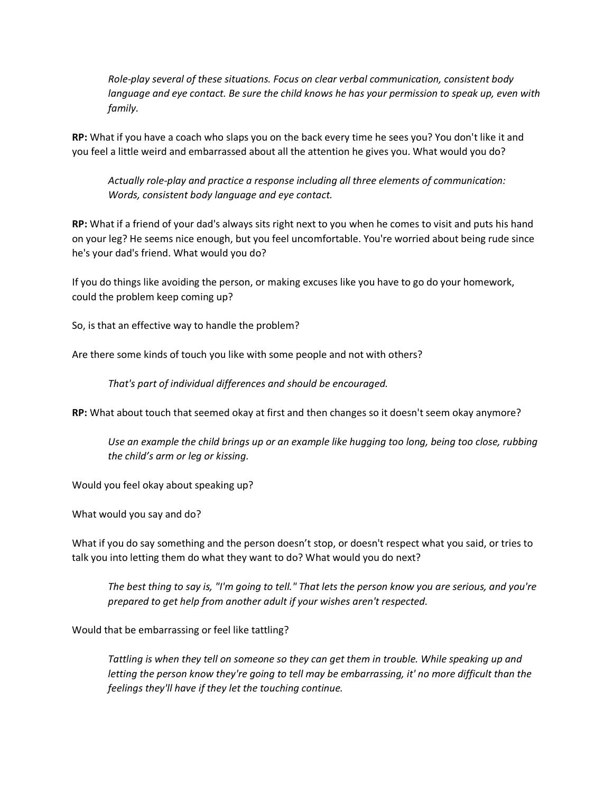*Role-play several of these situations. Focus on clear verbal communication, consistent body language and eye contact. Be sure the child knows he has your permission to speak up, even with family.* 

**RP:** What if you have a coach who slaps you on the back every time he sees you? You don't like it and you feel a little weird and embarrassed about all the attention he gives you. What would you do?

*Actually role-play and practice a response including all three elements of communication: Words, consistent body language and eye contact.*

**RP:** What if a friend of your dad's always sits right next to you when he comes to visit and puts his hand on your leg? He seems nice enough, but you feel uncomfortable. You're worried about being rude since he's your dad's friend. What would you do?

If you do things like avoiding the person, or making excuses like you have to go do your homework, could the problem keep coming up?

So, is that an effective way to handle the problem?

Are there some kinds of touch you like with some people and not with others?

*That's part of individual differences and should be encouraged.*

**RP:** What about touch that seemed okay at first and then changes so it doesn't seem okay anymore?

*Use an example the child brings up or an example like hugging too long, being too close, rubbing the child's arm or leg or kissing.* 

Would you feel okay about speaking up?

What would you say and do?

What if you do say something and the person doesn't stop, or doesn't respect what you said, or tries to talk you into letting them do what they want to do? What would you do next?

*The best thing to say is, "I'm going to tell." That lets the person know you are serious, and you're prepared to get help from another adult if your wishes aren't respected.*

Would that be embarrassing or feel like tattling?

*Tattling is when they tell on someone so they can get them in trouble. While speaking up and letting the person know they're going to tell may be embarrassing, it' no more difficult than the feelings they'll have if they let the touching continue.*